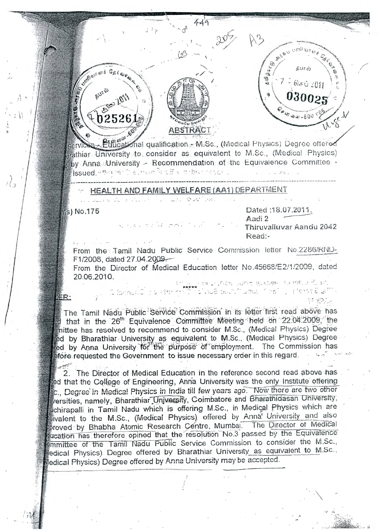

Educational qualification - M.Sc., (Medical Physics) Degree offered arathiar University to consider as equivalent to M.Sc., (Medical Physics) by Anna University - Recommendation of the Equivalence Committee issued etter model man from a transportation

e le Tour

## HEALTH AND FAMILY WELFARE (AA1) DEPARTMENT

มาเอง ช่วงใค้ เธที่มี 1 เมื่อ เค

Ms) No.175

DER:

 $\int_{\Omega}$ 

**CASH RUNG ED F** 

**GELORD** 

E800 101

 $+02526$ 

Dated: 18.07.2011. Aadi 2 Thiruvalluvar Aandu 2042 Read:-

 $\mathcal{O}_{\mathcal{G},\mathcal{G}}\otimes \mathcal{G}_{\mathfrak{p}}$ 

ড়ী<br>জ

தீபால்

 $61401$ 

03002

 $*47$  and  $41 - 600$ 

From the Tamil Nadu Public Service Commission letter No.2286/RND-F1/2008, dated 27.04.2009.

From the Director of Medical Education letter No.45668/E2/1/2009, dated 20.06.2010. いやつ らのこぶつがものかい シンゆう 仙 ビ

มีกลับ เป็นเกมส์ ที่ 1998 เพราะ 1998 (ค.ศ. 1998) (ค.ศ. 1998)

The Tamil Nadu Public Service Commission in its letter first read above has of that in the 26<sup>th</sup> Equivalence Committee Meeting held on 22.04.2009, the imittee has resolved to recommend to consider M.Sc., (Medical Physics) Degree ed by Bharathiar University as equivalent to M.Sc., (Medical Physics) Degree ed by Anna University for the purpose of employment. The Commission has efore requested the Government to issue necessary order in this regard.

2. The Director of Medical Education in the reference second read above has led that the College of Engineering, Anna University was the only Institute offering Sc., Degree in Medical Physics in India till few years ago. Now there are two other versities, namely, Bharathiar University, Coimbatore and Bharathidasan University, Lichirapalli in Tamil Nadu which is offering M.Sc., in Medical Physics which are wivalent to the M.Sc., (Medical Physics) offered by Anna University and also proved by Bhabha Atomic Research Centre, Mumbal. The Director of Medical queation has therefore opined that the resolution No.3 passed by the Equivalence emmittee of the Tamil Nadu Public Service Commission to consider the M.Sc., edical Physics) Degree offered by Bharathiar University as equivalent to M.Sc., ledical Physics) Degree offered by Anna University may be accepted.